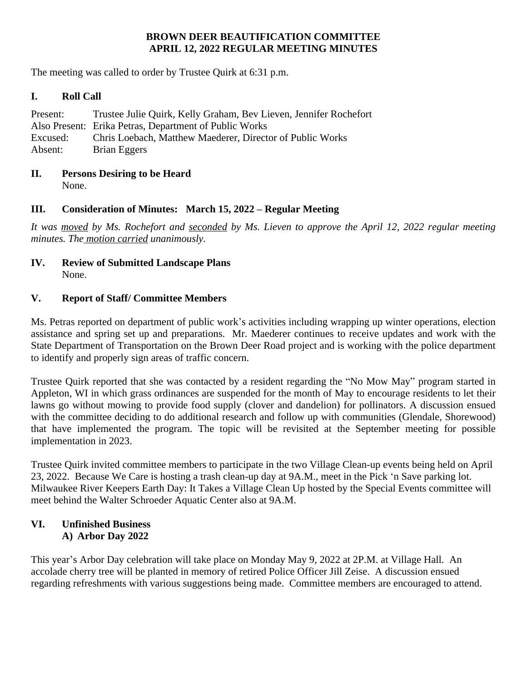## **BROWN DEER BEAUTIFICATION COMMITTEE APRIL 12, 2022 REGULAR MEETING MINUTES**

The meeting was called to order by Trustee Quirk at 6:31 p.m.

### **I. Roll Call**

| Present: | Trustee Julie Quirk, Kelly Graham, Bev Lieven, Jennifer Rochefort |
|----------|-------------------------------------------------------------------|
|          | Also Present: Erika Petras, Department of Public Works            |
| Excused: | Chris Loebach, Matthew Maederer, Director of Public Works         |
| Absent:  | Brian Eggers                                                      |

# **II. Persons Desiring to be Heard**

None.

# **III. Consideration of Minutes: March 15, 2022 – Regular Meeting**

It was moved by Ms. Rochefort and seconded by Ms. Lieven to approve the April 12, 2022 regular meeting *minutes. The motion carried unanimously.*

### **IV. Review of Submitted Landscape Plans** None.

# **V. Report of Staff/ Committee Members**

Ms. Petras reported on department of public work's activities including wrapping up winter operations, election assistance and spring set up and preparations. Mr. Maederer continues to receive updates and work with the State Department of Transportation on the Brown Deer Road project and is working with the police department to identify and properly sign areas of traffic concern.

Trustee Quirk reported that she was contacted by a resident regarding the "No Mow May" program started in Appleton, WI in which grass ordinances are suspended for the month of May to encourage residents to let their lawns go without mowing to provide food supply (clover and dandelion) for pollinators. A discussion ensued with the committee deciding to do additional research and follow up with communities (Glendale, Shorewood) that have implemented the program. The topic will be revisited at the September meeting for possible implementation in 2023.

Trustee Quirk invited committee members to participate in the two Village Clean-up events being held on April 23, 2022. Because We Care is hosting a trash clean-up day at 9A.M., meet in the Pick 'n Save parking lot. Milwaukee River Keepers Earth Day: It Takes a Village Clean Up hosted by the Special Events committee will meet behind the Walter Schroeder Aquatic Center also at 9A.M.

### **VI. Unfinished Business A) Arbor Day 2022**

This year's Arbor Day celebration will take place on Monday May 9, 2022 at 2P.M. at Village Hall. An accolade cherry tree will be planted in memory of retired Police Officer Jill Zeise. A discussion ensued regarding refreshments with various suggestions being made. Committee members are encouraged to attend.